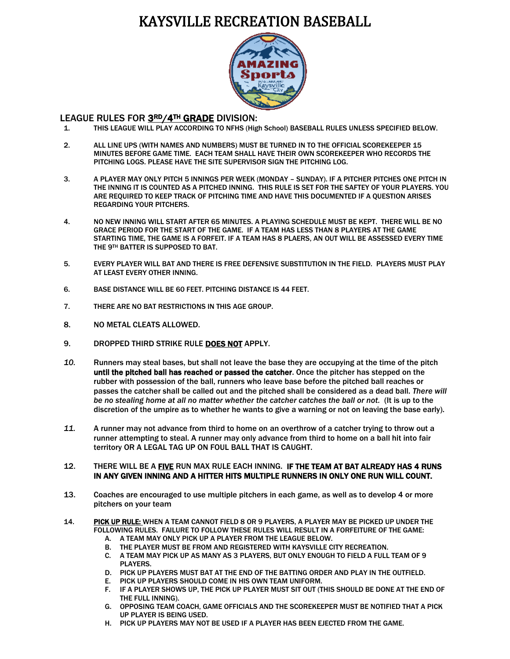## KAYSVILLE RECREATION BASEBALL



## l. LEAGUE RULES FOR 3RD/4TH GRADE DIVISION:

- 1. THIS LEAGUE WILL PLAY ACCORDING TO NFHS (High School) BASEBALL RULES UNLESS SPECIFIED BELOW.
- 2. ALL LINE UPS (WITH NAMES AND NUMBERS) MUST BE TURNED IN TO THE OFFICIAL SCOREKEEPER 15 MINUTES BEFORE GAME TIME. EACH TEAM SHALL HAVE THEIR OWN SCOREKEEPER WHO RECORDS THE PITCHING LOGS. PLEASE HAVE THE SITE SUPERVISOR SIGN THE PITCHING LOG.
- 3. A PLAYER MAY ONLY PITCH 5 INNINGS PER WEEK (MONDAY SUNDAY). IF A PITCHER PITCHES ONE PITCH IN THE INNING IT IS COUNTED AS A PITCHED INNING. THIS RULE IS SET FOR THE SAFTEY OF YOUR PLAYERS. YOU ARE REQUIRED TO KEEP TRACK OF PITCHING TIME AND HAVE THIS DOCUMENTED IF A QUESTION ARISES REGARDING YOUR PITCHERS.
- 4. NO NEW INNING WILL START AFTER 65 MINUTES. A PLAYING SCHEDULE MUST BE KEPT. THERE WILL BE NO GRACE PERIOD FOR THE START OF THE GAME. IF A TEAM HAS LESS THAN 8 PLAYERS AT THE GAME STARTING TIME, THE GAME IS A FORFEIT. IF A TEAM HAS 8 PLAERS, AN OUT WILL BE ASSESSED EVERY TIME THE 9TH BATTER IS SUPPOSED TO BAT.
- 5. EVERY PLAYER WILL BAT AND THERE IS FREE DEFENSIVE SUBSTITUTION IN THE FIELD. PLAYERS MUST PLAY AT LEAST EVERY OTHER INNING.
- 6. BASE DISTANCE WILL BE 60 FEET. PITCHING DISTANCE IS 44 FEET.
- 7. THERE ARE NO BAT RESTRICTIONS IN THIS AGE GROUP.
- 8. NO METAL CLEATS ALLOWED.
- 9. DROPPED THIRD STRIKE RULE DOES NOT APPLY.
- *10.* Runners may steal bases, but shall not leave the base they are occupying at the time of the pitch until the pitched ball has reached or passed the catcher. Once the pitcher has stepped on the rubber with possession of the ball, runners who leave base before the pitched ball reaches or passes the catcher shall be called out and the pitched shall be considered as a dead ball. *There will be no stealing home at all no matter whether the catcher catches the ball or not.* (It is up to the discretion of the umpire as to whether he wants to give a warning or not on leaving the base early).
- *11.* A runner may not advance from third to home on an overthrow of a catcher trying to throw out a runner attempting to steal. A runner may only advance from third to home on a ball hit into fair territory OR A LEGAL TAG UP ON FOUL BALL THAT IS CAUGHT.

## 12. THERE WILL BE A FIVE RUN MAX RULE EACH INNING. IF THE TEAM AT BAT ALREADY HAS 4 RUNS IN ANY GIVEN INNING AND A HITTER HITS MULTIPLE RUNNERS IN ONLY ONE RUN WILL COUNT.

- 13. Coaches are encouraged to use multiple pitchers in each game, as well as to develop 4 or more pitchers on your team
- 14. PICK UP RULE: WHEN A TEAM CANNOT FIELD 8 OR 9 PLAYERS, A PLAYER MAY BE PICKED UP UNDER THE FOLLOWING RULES. FAILURE TO FOLLOW THESE RULES WILL RESULT IN A FORFEITURE OF THE GAME:
	- A. A TEAM MAY ONLY PICK UP A PLAYER FROM THE LEAGUE BELOW.
	- B. THE PLAYER MUST BE FROM AND REGISTERED WITH KAYSVILLE CITY RECREATION.
	- C. A TEAM MAY PICK UP AS MANY AS 3 PLAYERS, BUT ONLY ENOUGH TO FIELD A FULL TEAM OF 9 PLAYERS.
	- D. PICK UP PLAYERS MUST BAT AT THE END OF THE BATTING ORDER AND PLAY IN THE OUTFIELD.
	- E. PICK UP PLAYERS SHOULD COME IN HIS OWN TEAM UNIFORM.
	- F. IF A PLAYER SHOWS UP, THE PICK UP PLAYER MUST SIT OUT (THIS SHOULD BE DONE AT THE END OF THE FULL INNING).
	- G. OPPOSING TEAM COACH, GAME OFFICIALS AND THE SCOREKEEPER MUST BE NOTIFIED THAT A PICK UP PLAYER IS BEING USED.
	- H. PICK UP PLAYERS MAY NOT BE USED IF A PLAYER HAS BEEN EJECTED FROM THE GAME.